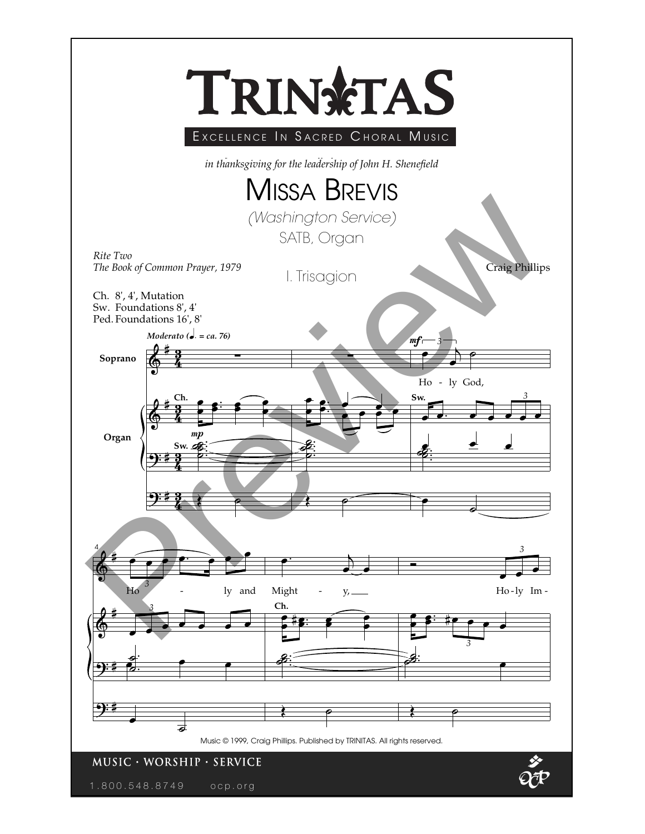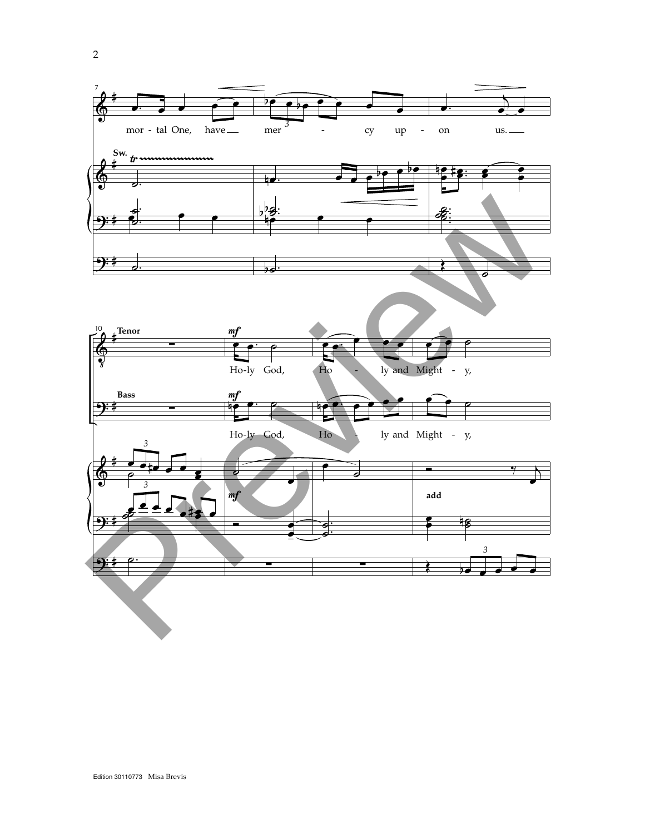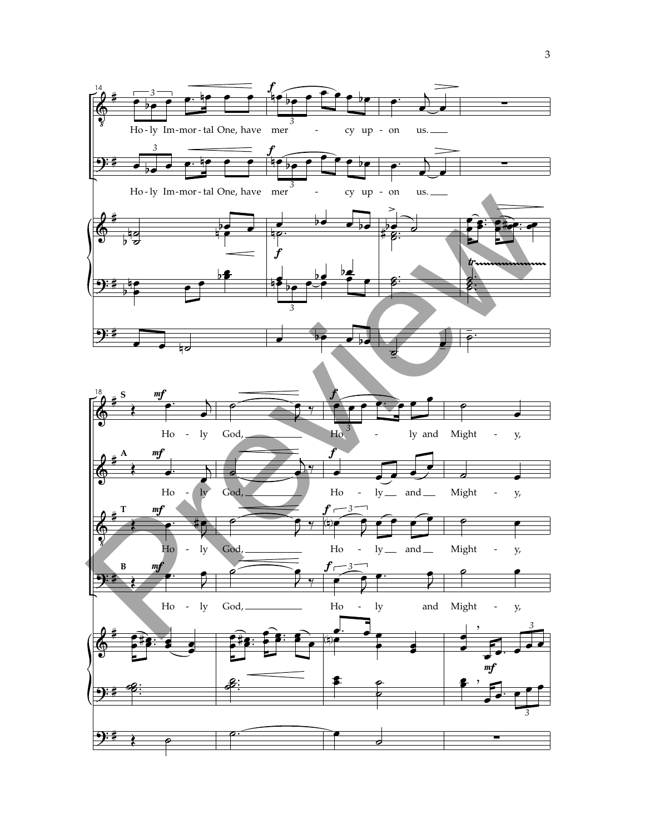

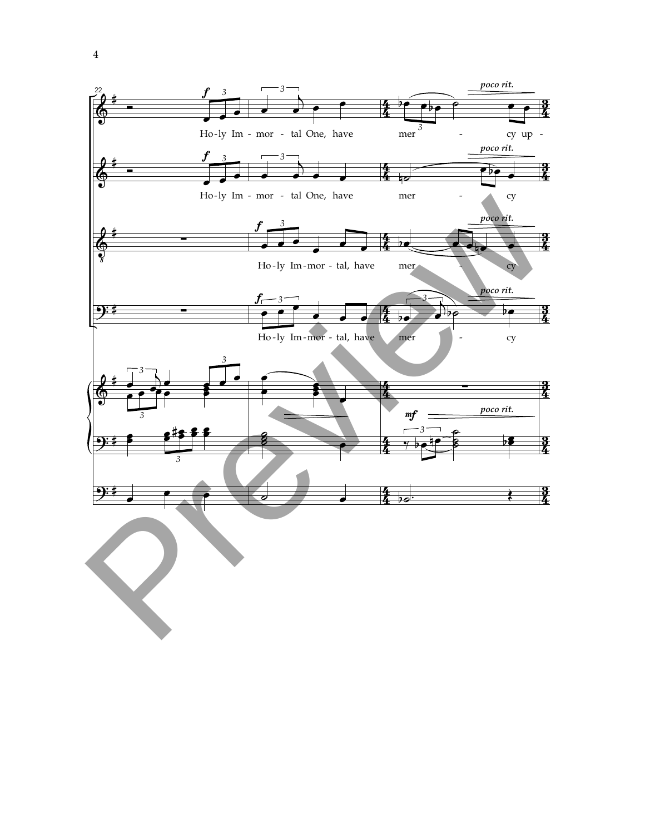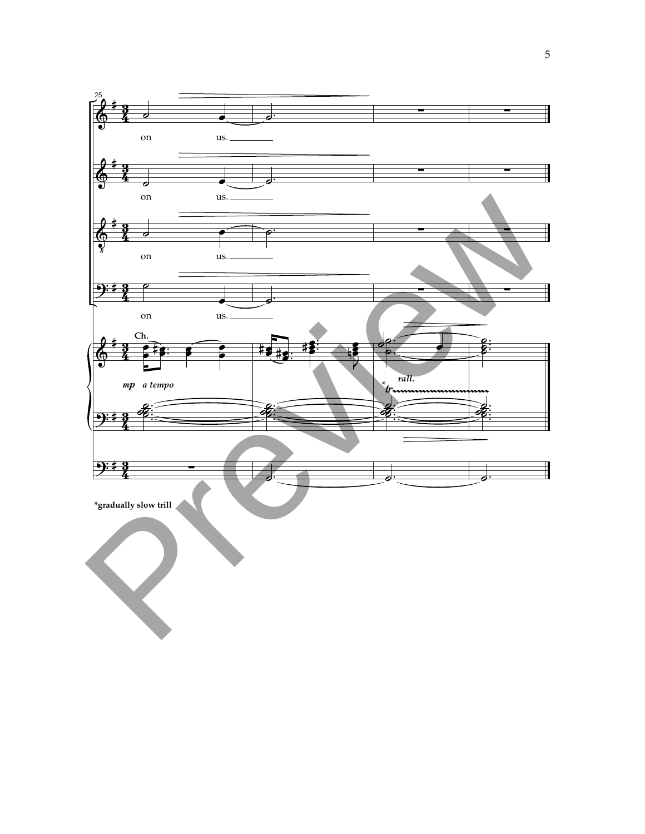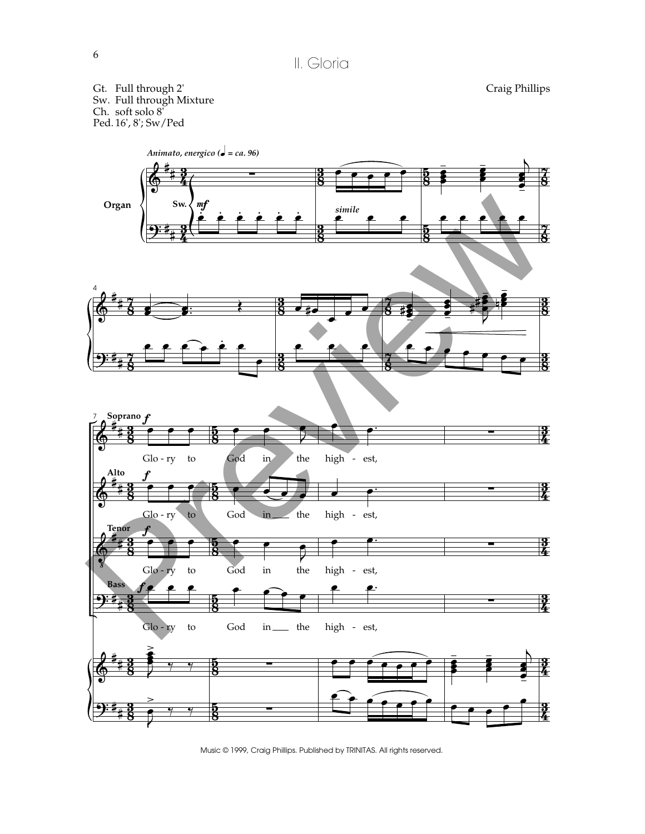Gt. Full through 2' Craig Phillips Sw. Full through Mixture Ch. soft solo 8' Ped. 16', 8'; Sw/Ped



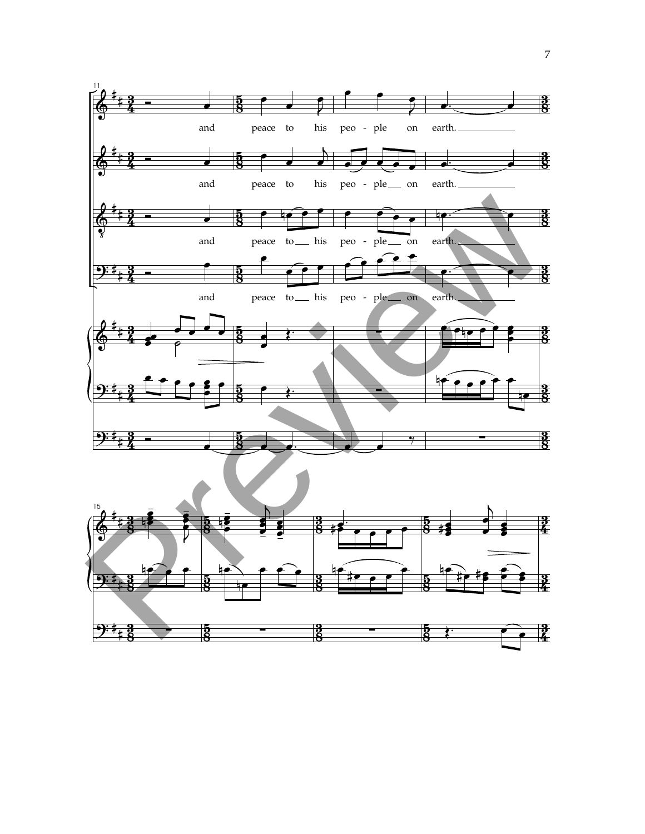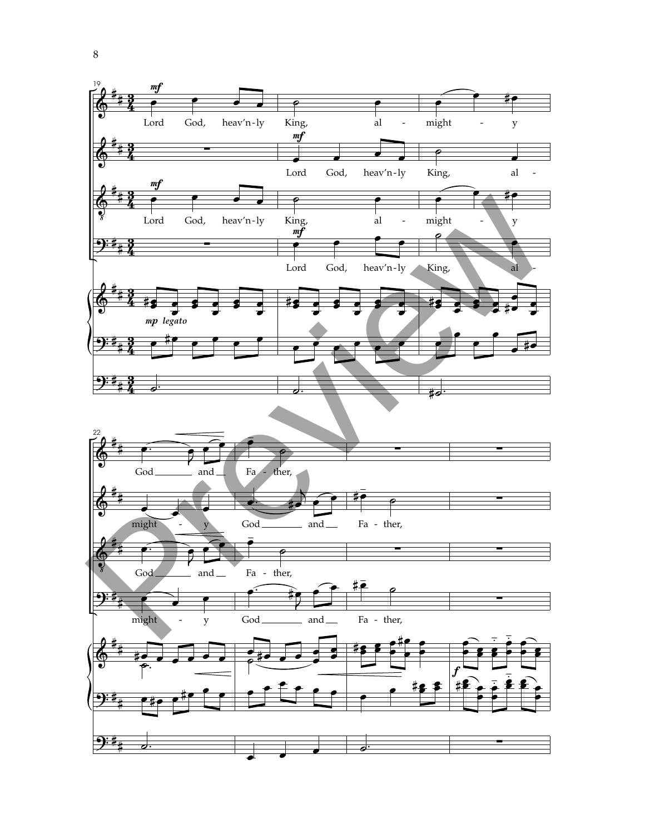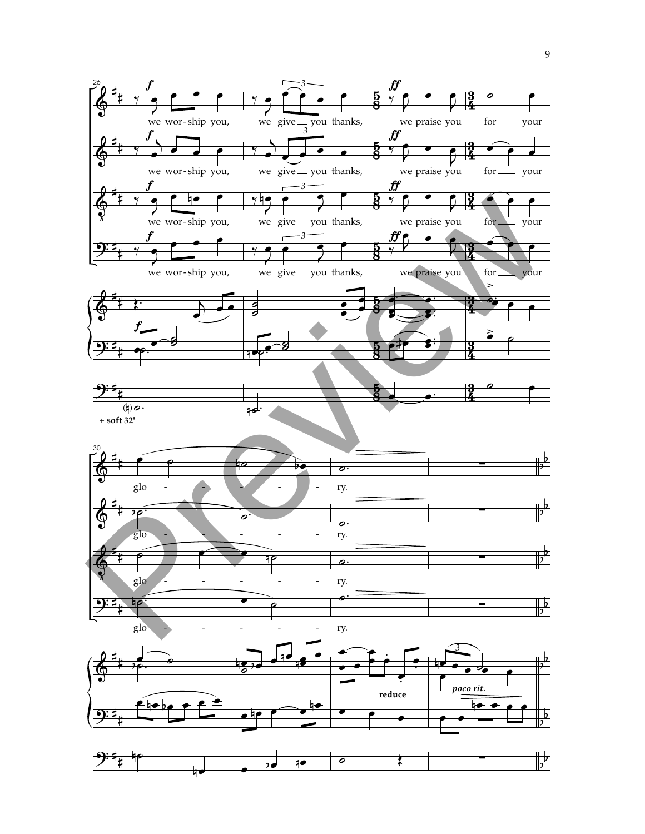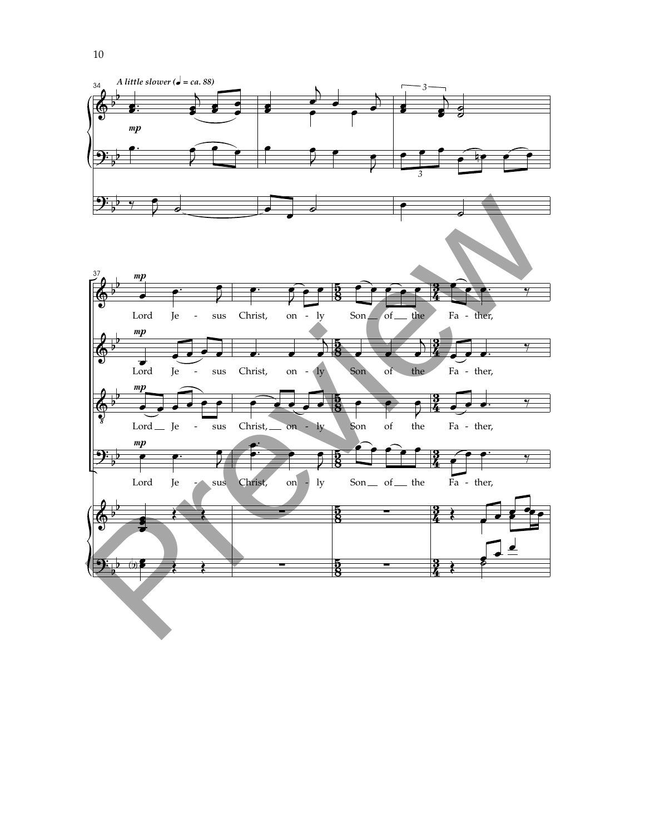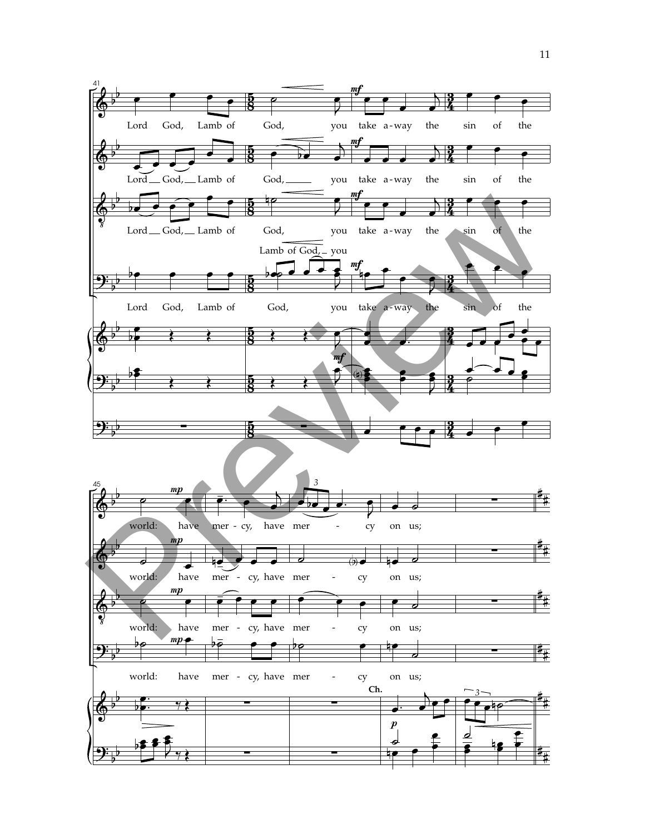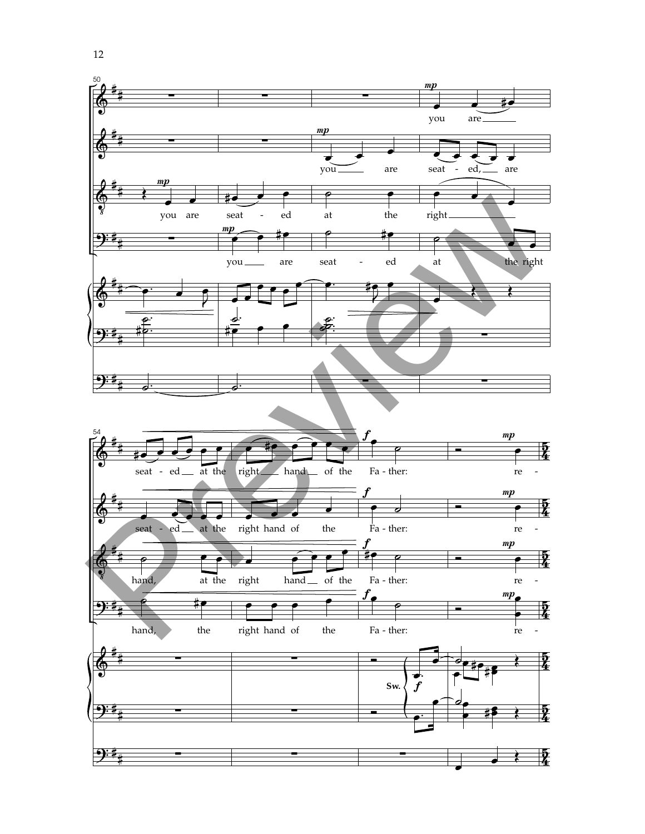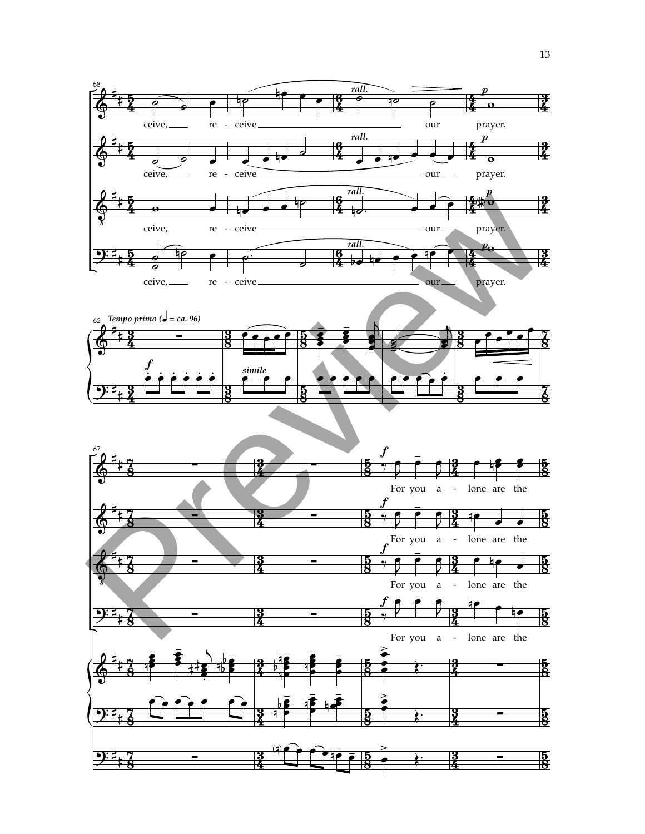



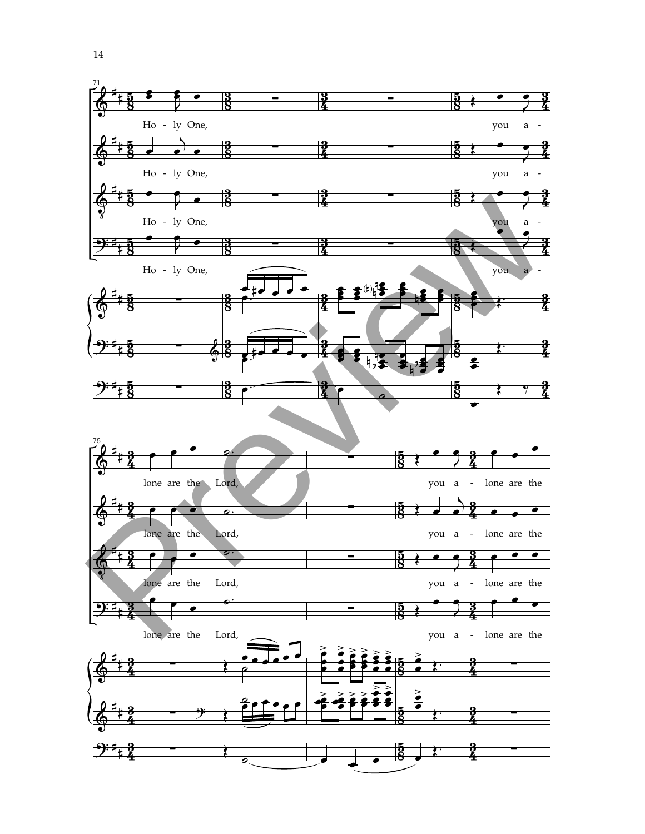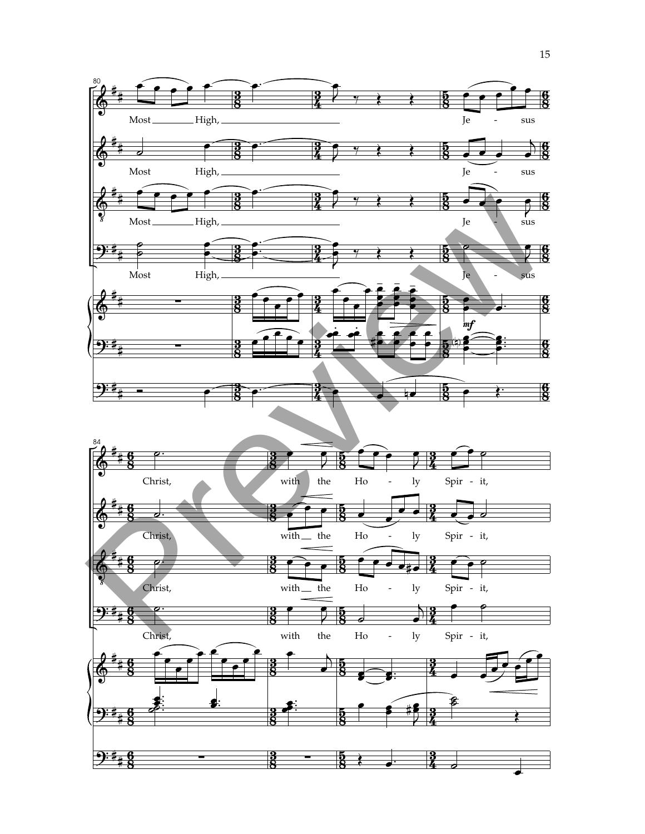

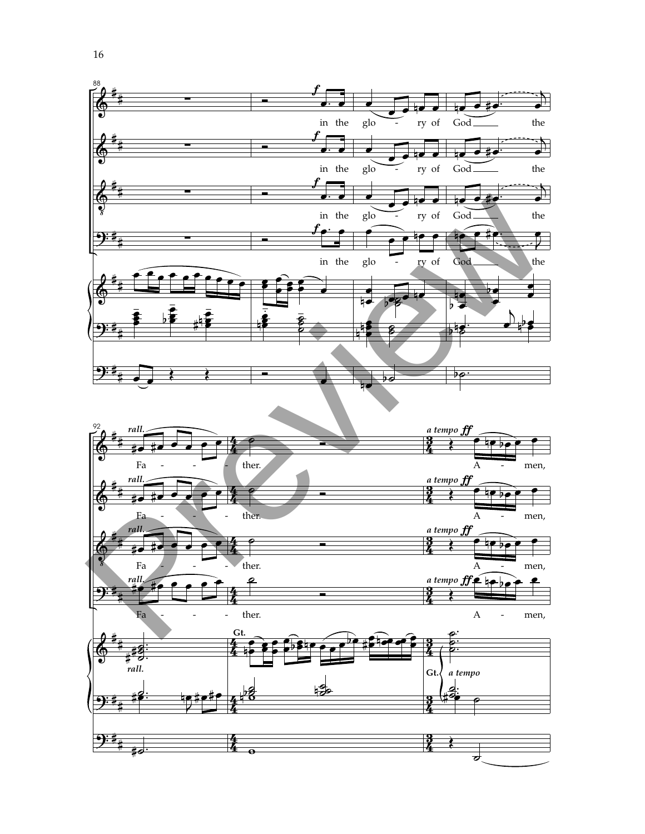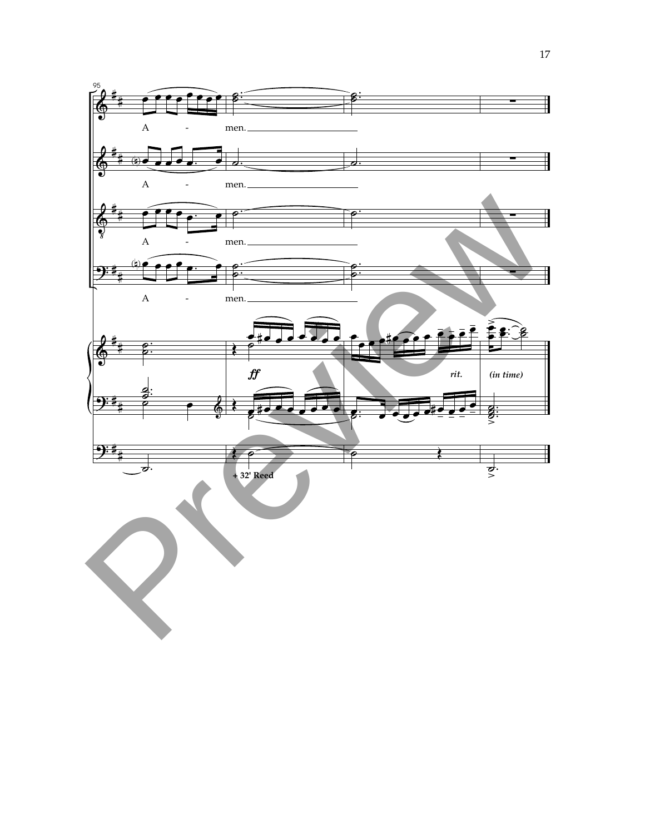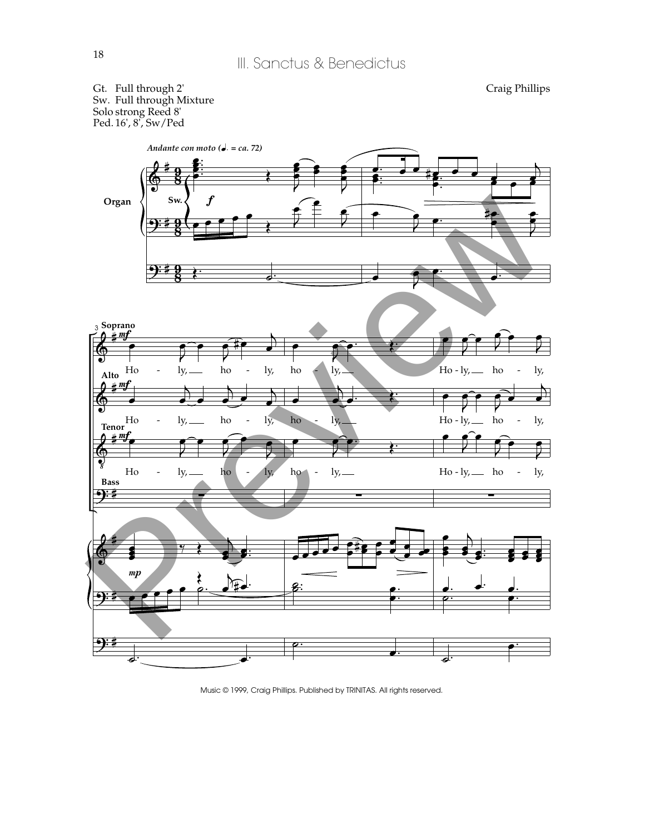





Music © 1999, Craig Phillips. Published by TRINITAS. All rights reserved.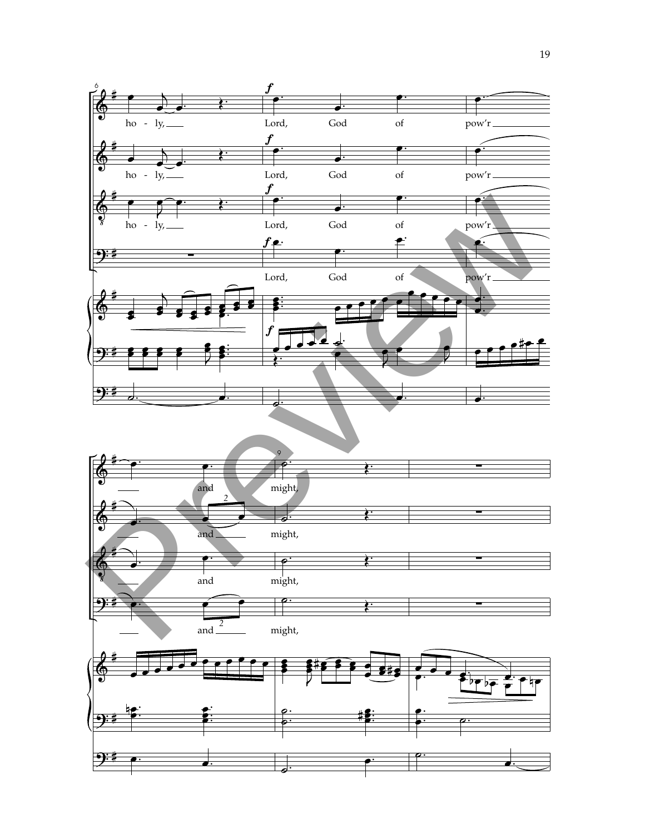

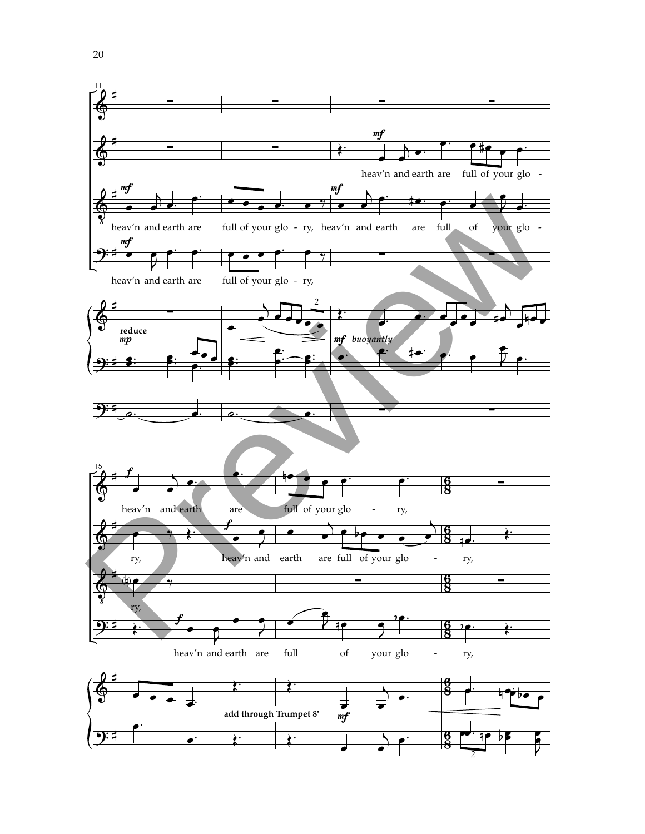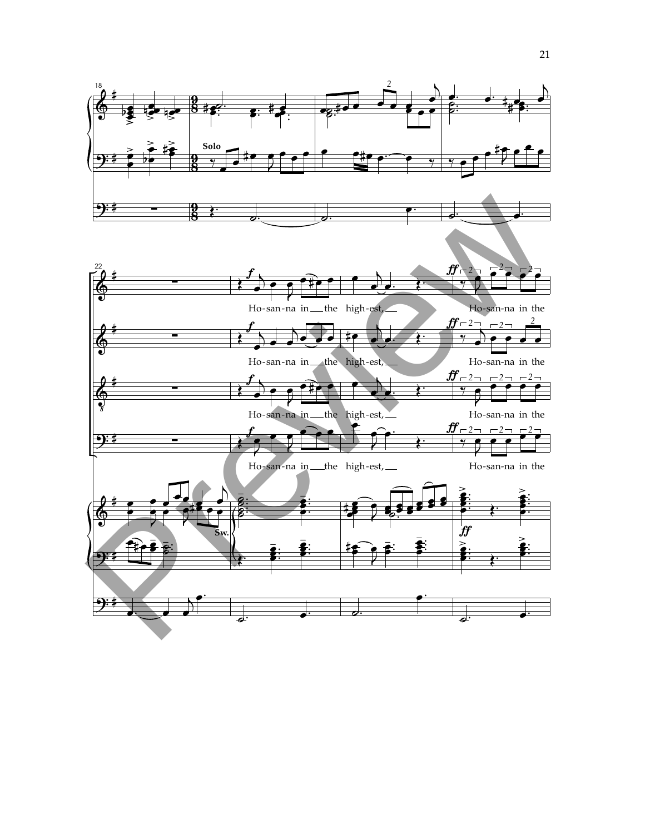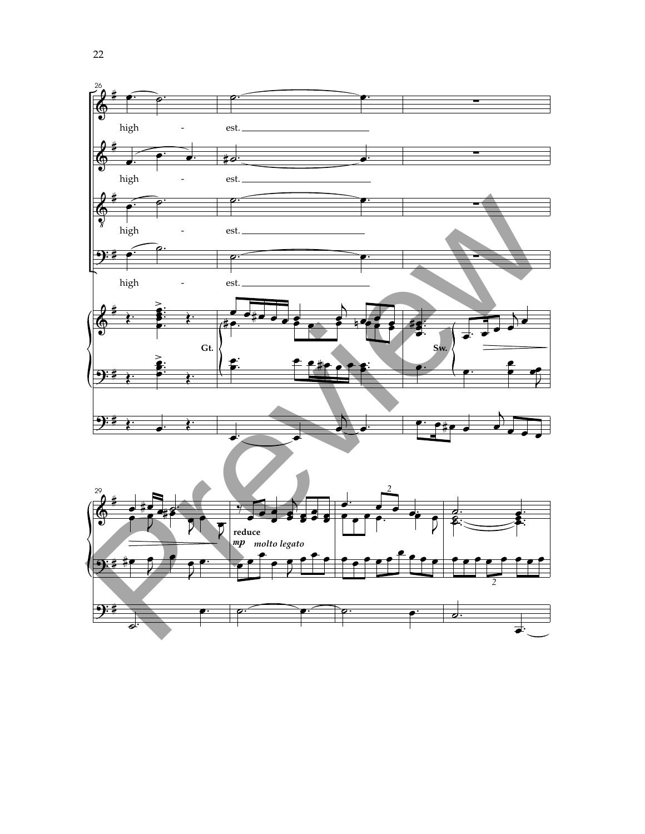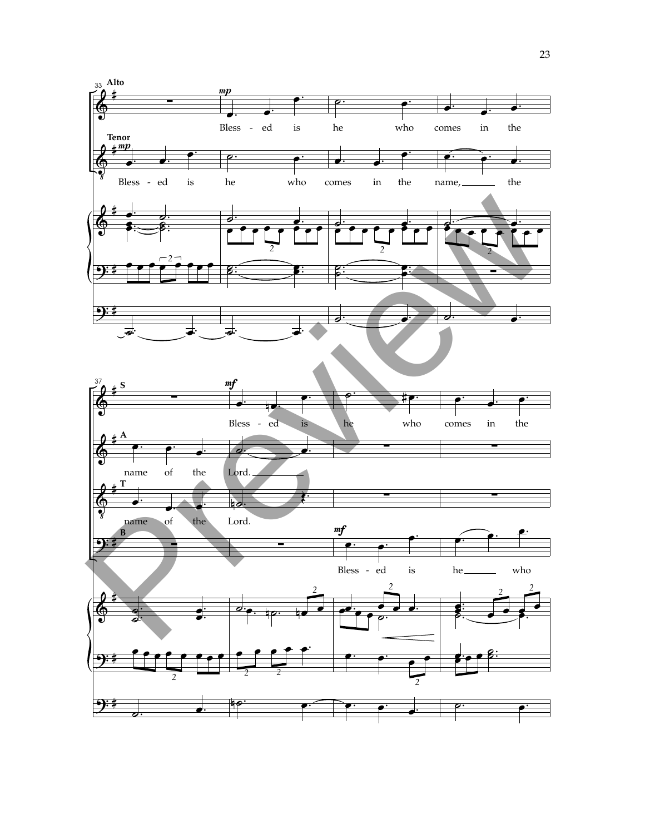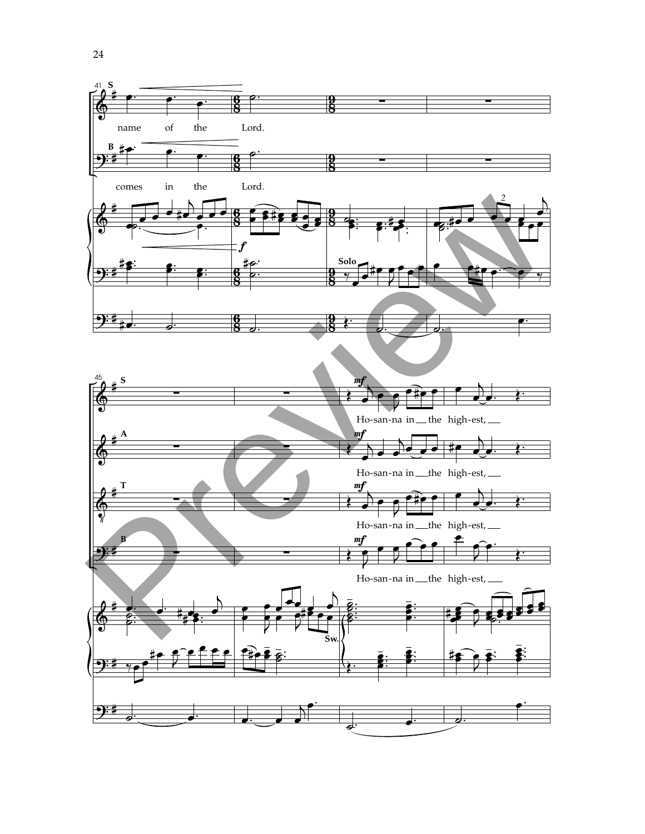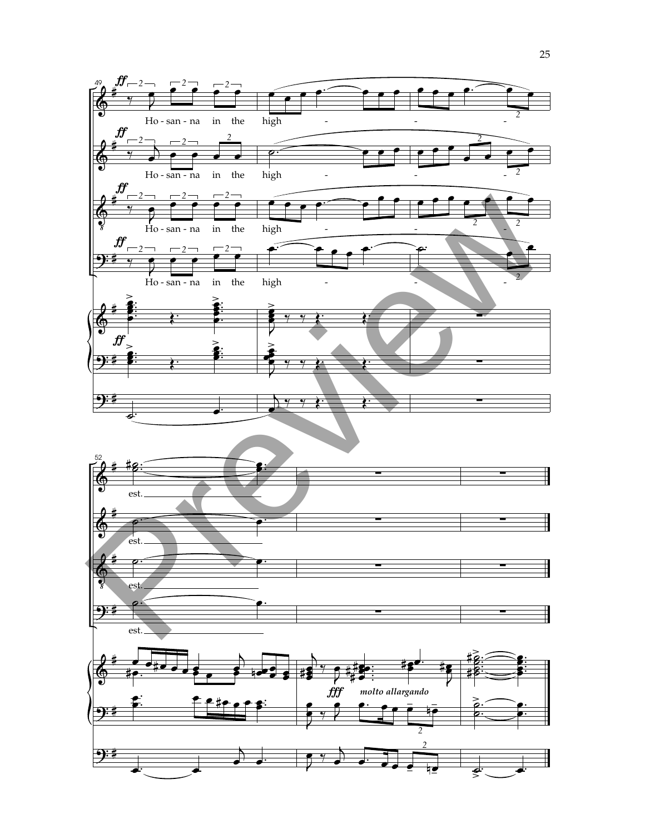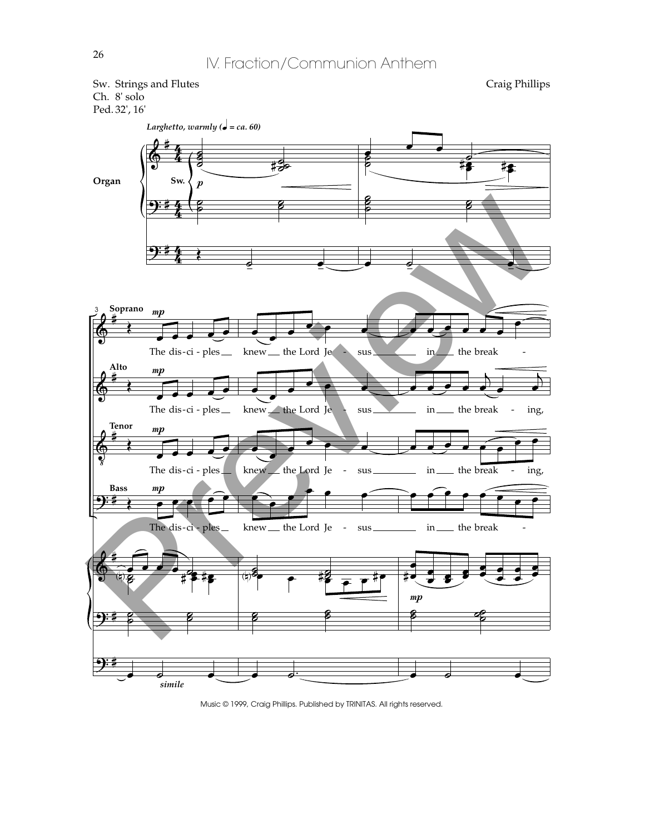

Music © 1999, Craig Phillips. Published by TRINITAS. All rights reserved.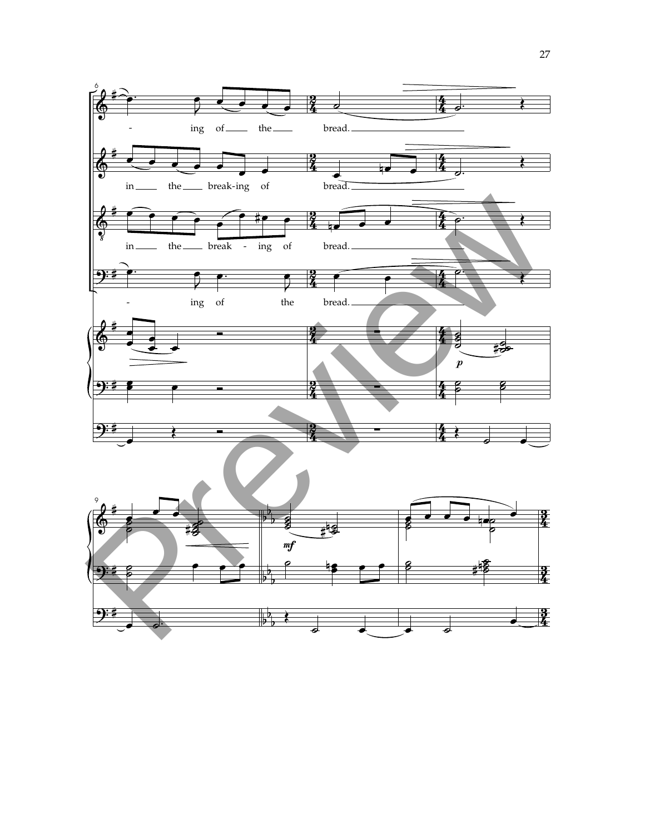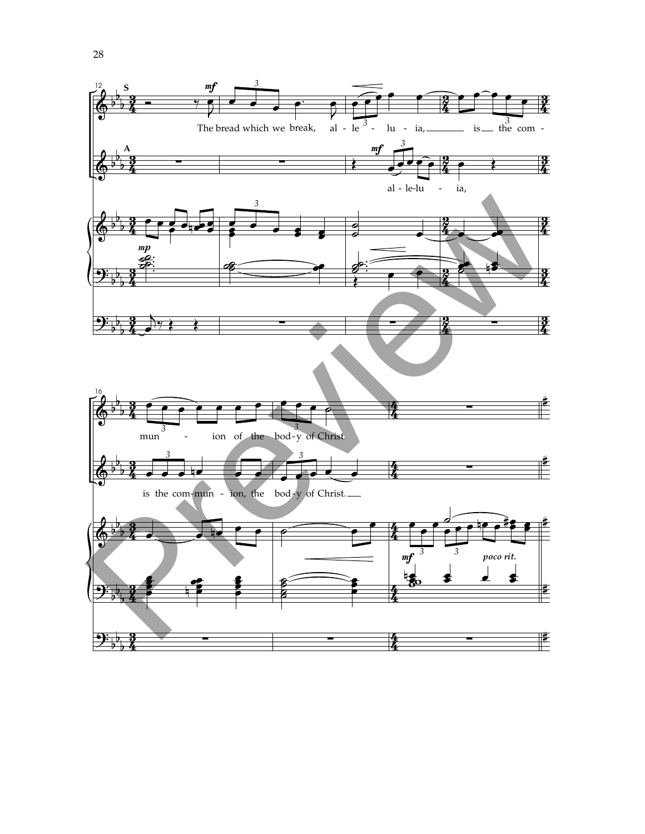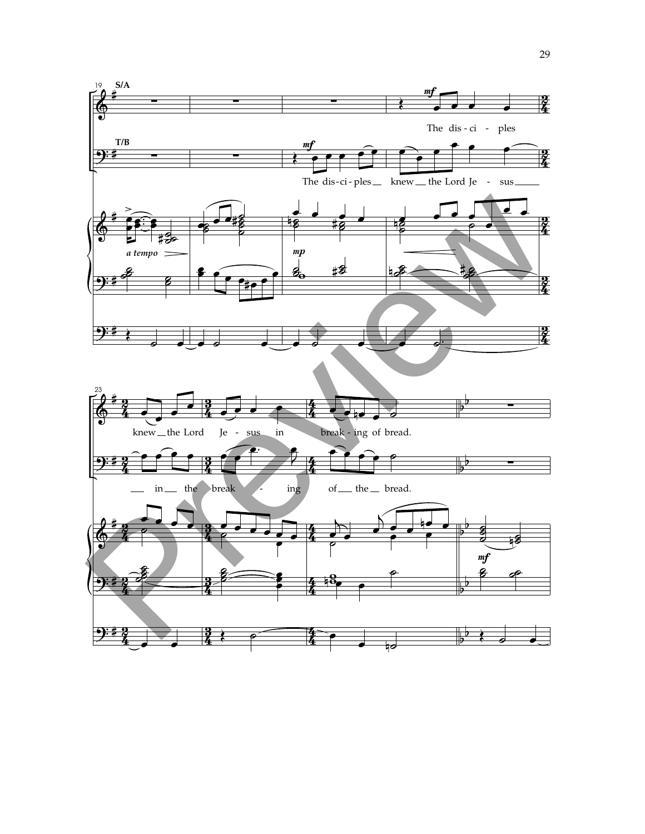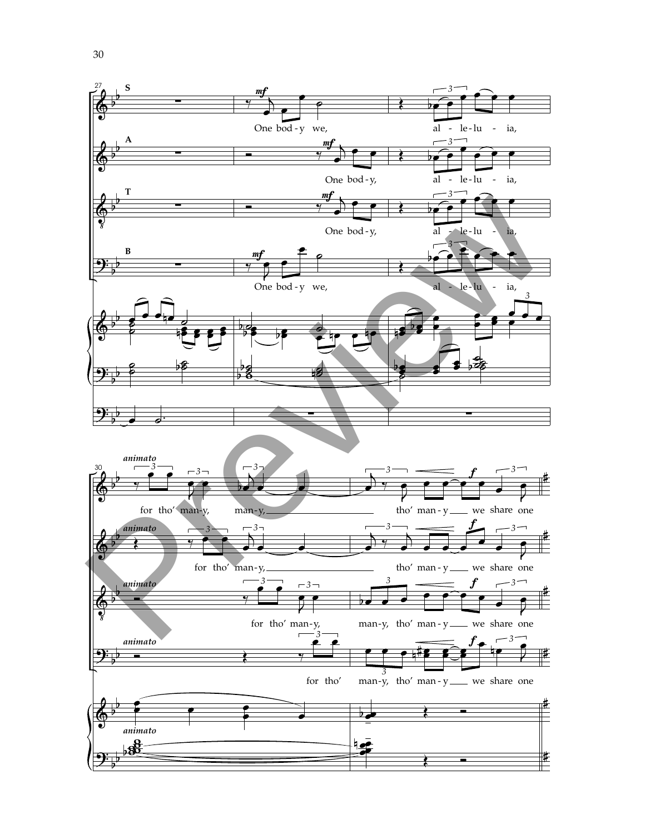

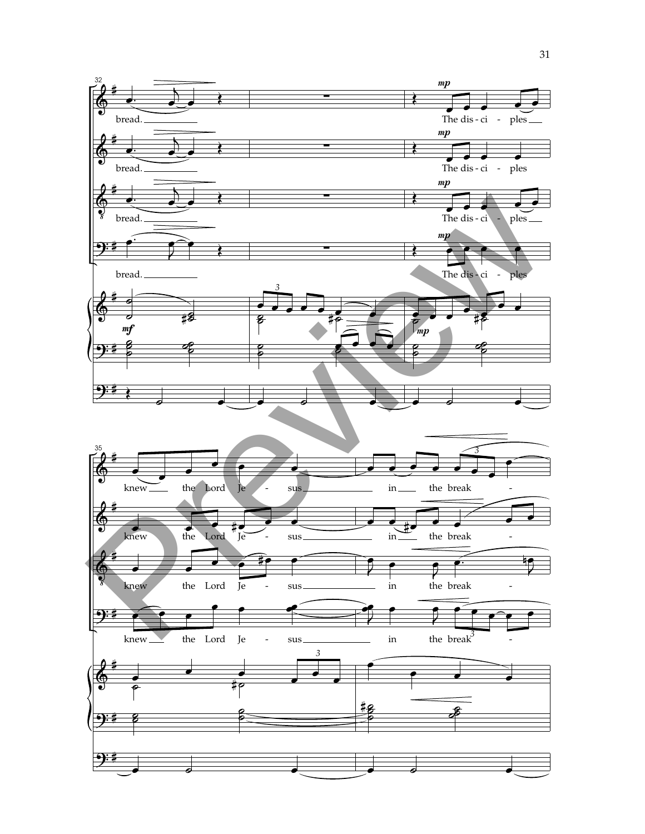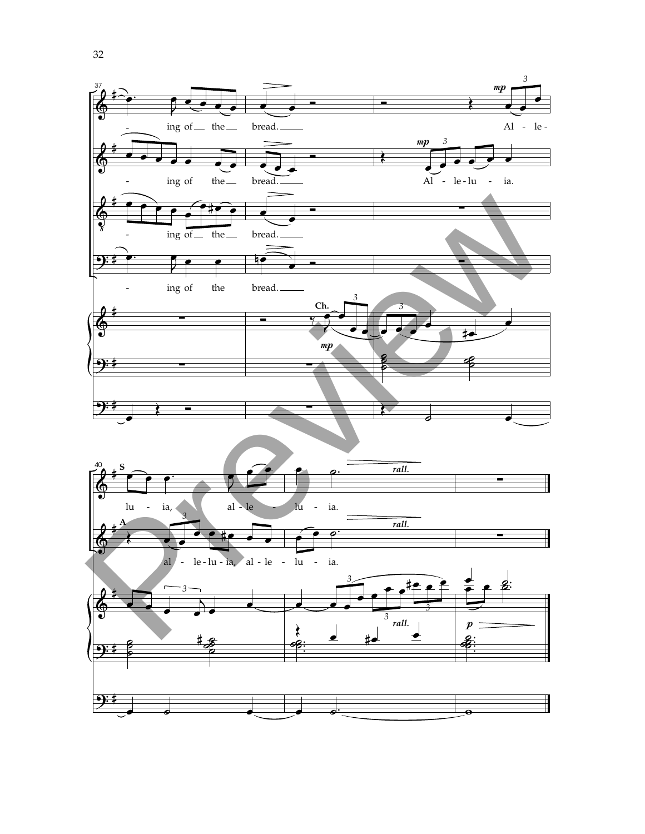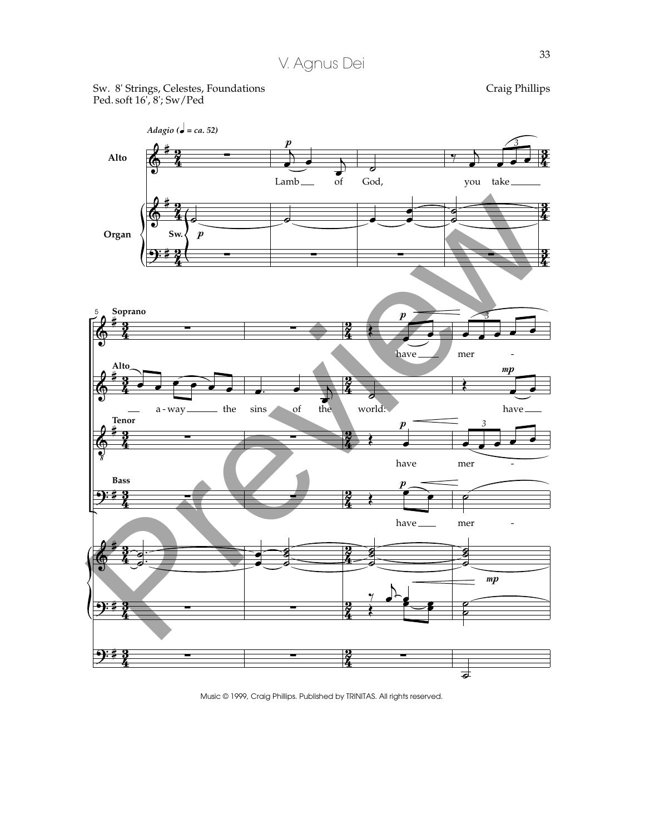

Music © 1999, Craig Phillips. Published by TRINITAS. All rights reserved.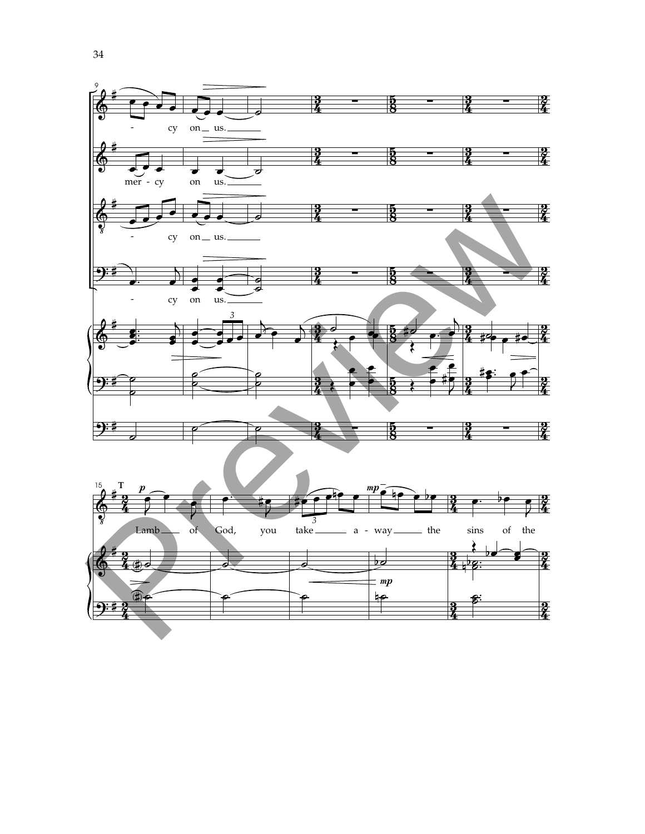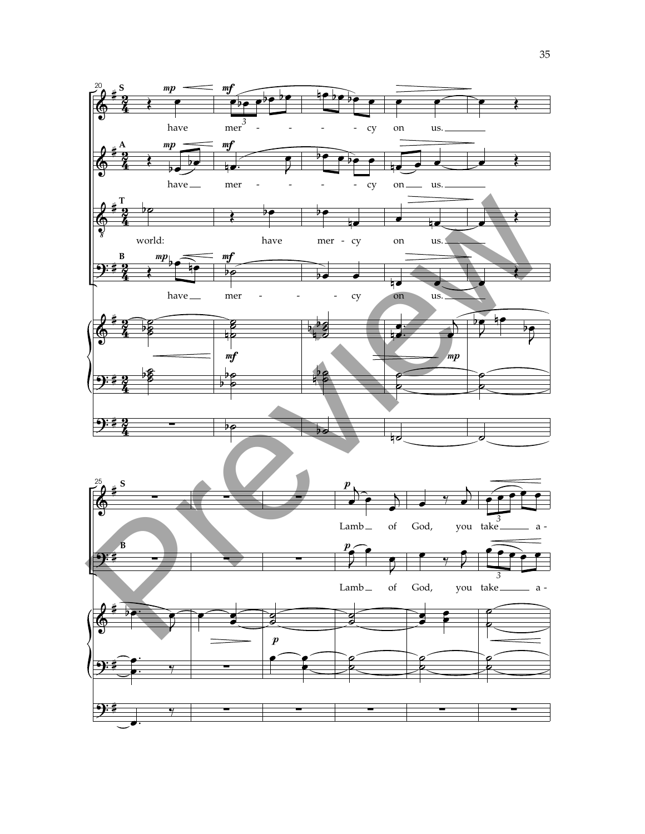